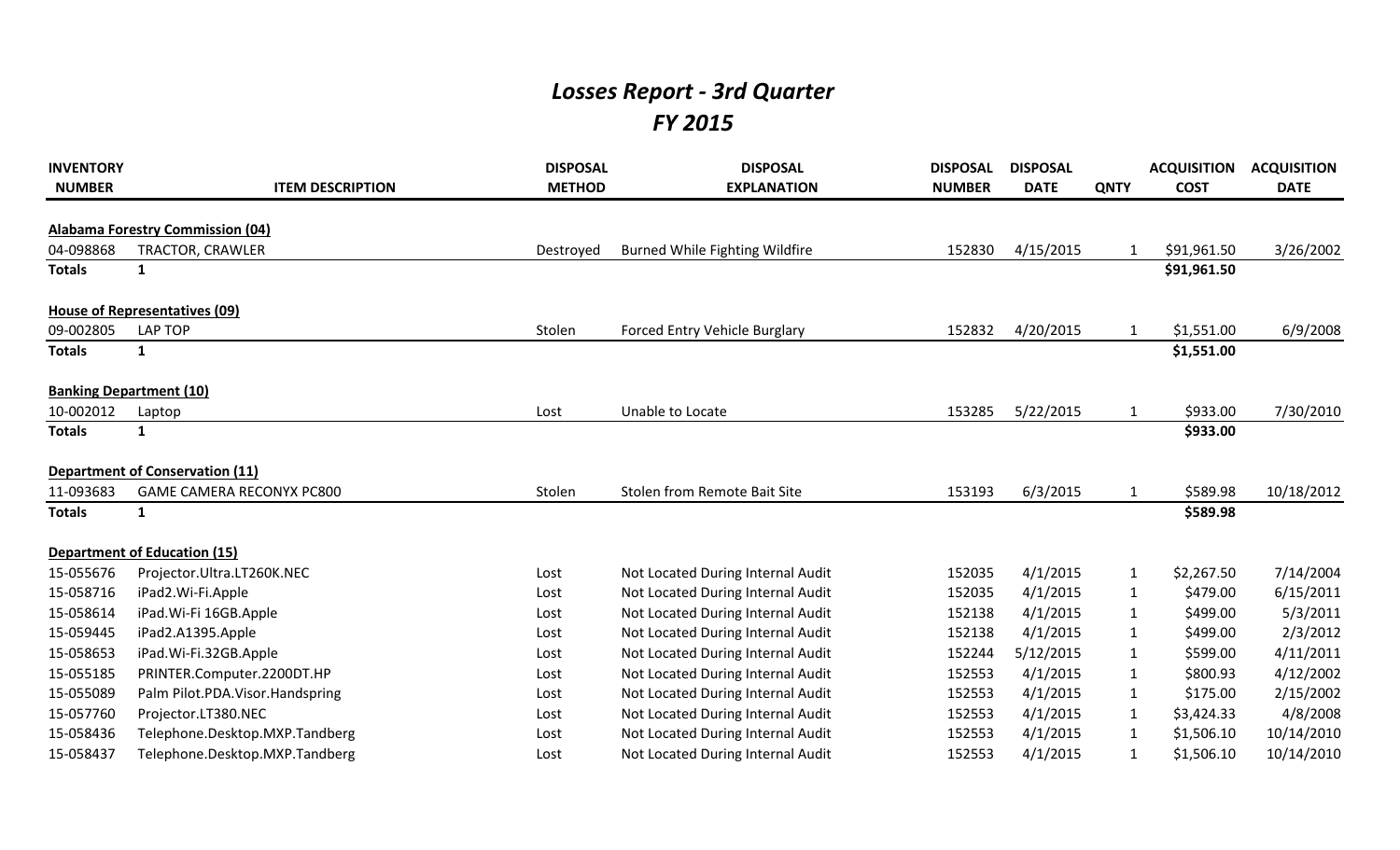## *Losses Report - 3rd Quarter FY 2015*

| <b>INVENTORY</b><br><b>NUMBER</b> | <b>ITEM DESCRIPTION</b>                 | <b>DISPOSAL</b><br><b>METHOD</b> | <b>DISPOSAL</b><br><b>EXPLANATION</b> | <b>DISPOSAL</b><br><b>NUMBER</b> | <b>DISPOSAL</b><br><b>DATE</b> | <b>QNTY</b>  | <b>ACQUISITION</b><br><b>COST</b> | <b>ACQUISITION</b><br><b>DATE</b> |
|-----------------------------------|-----------------------------------------|----------------------------------|---------------------------------------|----------------------------------|--------------------------------|--------------|-----------------------------------|-----------------------------------|
|                                   | <b>Alabama Forestry Commission (04)</b> |                                  |                                       |                                  |                                |              |                                   |                                   |
| 04-098868                         | TRACTOR, CRAWLER                        | Destroyed                        | <b>Burned While Fighting Wildfire</b> | 152830                           | 4/15/2015                      | $\mathbf 1$  | \$91,961.50                       | 3/26/2002                         |
| <b>Totals</b>                     | 1                                       |                                  |                                       |                                  |                                |              | \$91,961.50                       |                                   |
|                                   |                                         |                                  |                                       |                                  |                                |              |                                   |                                   |
|                                   | House of Representatives (09)           |                                  |                                       |                                  |                                |              |                                   |                                   |
| 09-002805                         | <b>LAP TOP</b>                          | Stolen                           | Forced Entry Vehicle Burglary         | 152832                           | 4/20/2015                      | $\mathbf 1$  | \$1,551.00                        | 6/9/2008                          |
| <b>Totals</b>                     | $\mathbf{1}$                            |                                  |                                       |                                  |                                |              | \$1,551.00                        |                                   |
|                                   | <b>Banking Department (10)</b>          |                                  |                                       |                                  |                                |              |                                   |                                   |
| 10-002012                         | Laptop                                  | Lost                             | Unable to Locate                      | 153285                           | 5/22/2015                      | 1            | \$933.00                          | 7/30/2010                         |
| <b>Totals</b>                     | $\mathbf{1}$                            |                                  |                                       |                                  |                                |              | \$933.00                          |                                   |
|                                   | <b>Department of Conservation (11)</b>  |                                  |                                       |                                  |                                |              |                                   |                                   |
| 11-093683                         | <b>GAME CAMERA RECONYX PC800</b>        | Stolen                           | Stolen from Remote Bait Site          | 153193                           | 6/3/2015                       | 1            | \$589.98                          | 10/18/2012                        |
| <b>Totals</b>                     | 1                                       |                                  |                                       |                                  |                                |              | \$589.98                          |                                   |
|                                   | <b>Department of Education (15)</b>     |                                  |                                       |                                  |                                |              |                                   |                                   |
| 15-055676                         | Projector.Ultra.LT260K.NEC              | Lost                             | Not Located During Internal Audit     | 152035                           | 4/1/2015                       | $\mathbf{1}$ | \$2,267.50                        | 7/14/2004                         |
| 15-058716                         | iPad2.Wi-Fi.Apple                       | Lost                             | Not Located During Internal Audit     | 152035                           | 4/1/2015                       | 1            | \$479.00                          | 6/15/2011                         |
| 15-058614                         | iPad. Wi-Fi 16GB. Apple                 | Lost                             | Not Located During Internal Audit     | 152138                           | 4/1/2015                       | 1            | \$499.00                          | 5/3/2011                          |
| 15-059445                         | iPad2.A1395.Apple                       | Lost                             | Not Located During Internal Audit     | 152138                           | 4/1/2015                       | $\mathbf{1}$ | \$499.00                          | 2/3/2012                          |
| 15-058653                         | iPad.Wi-Fi.32GB.Apple                   | Lost                             | Not Located During Internal Audit     | 152244                           | 5/12/2015                      | $\mathbf{1}$ | \$599.00                          | 4/11/2011                         |
| 15-055185                         | PRINTER.Computer.2200DT.HP              | Lost                             | Not Located During Internal Audit     | 152553                           | 4/1/2015                       | 1            | \$800.93                          | 4/12/2002                         |
| 15-055089                         | Palm Pilot.PDA.Visor.Handspring         | Lost                             | Not Located During Internal Audit     | 152553                           | 4/1/2015                       | 1            | \$175.00                          | 2/15/2002                         |
| 15-057760                         | Projector.LT380.NEC                     | Lost                             | Not Located During Internal Audit     | 152553                           | 4/1/2015                       | $\mathbf{1}$ | \$3,424.33                        | 4/8/2008                          |
| 15-058436                         | Telephone.Desktop.MXP.Tandberg          | Lost                             | Not Located During Internal Audit     | 152553                           | 4/1/2015                       | 1            | \$1,506.10                        | 10/14/2010                        |
| 15-058437                         | Telephone.Desktop.MXP.Tandberg          | Lost                             | Not Located During Internal Audit     | 152553                           | 4/1/2015                       | $\mathbf{1}$ | \$1,506.10                        | 10/14/2010                        |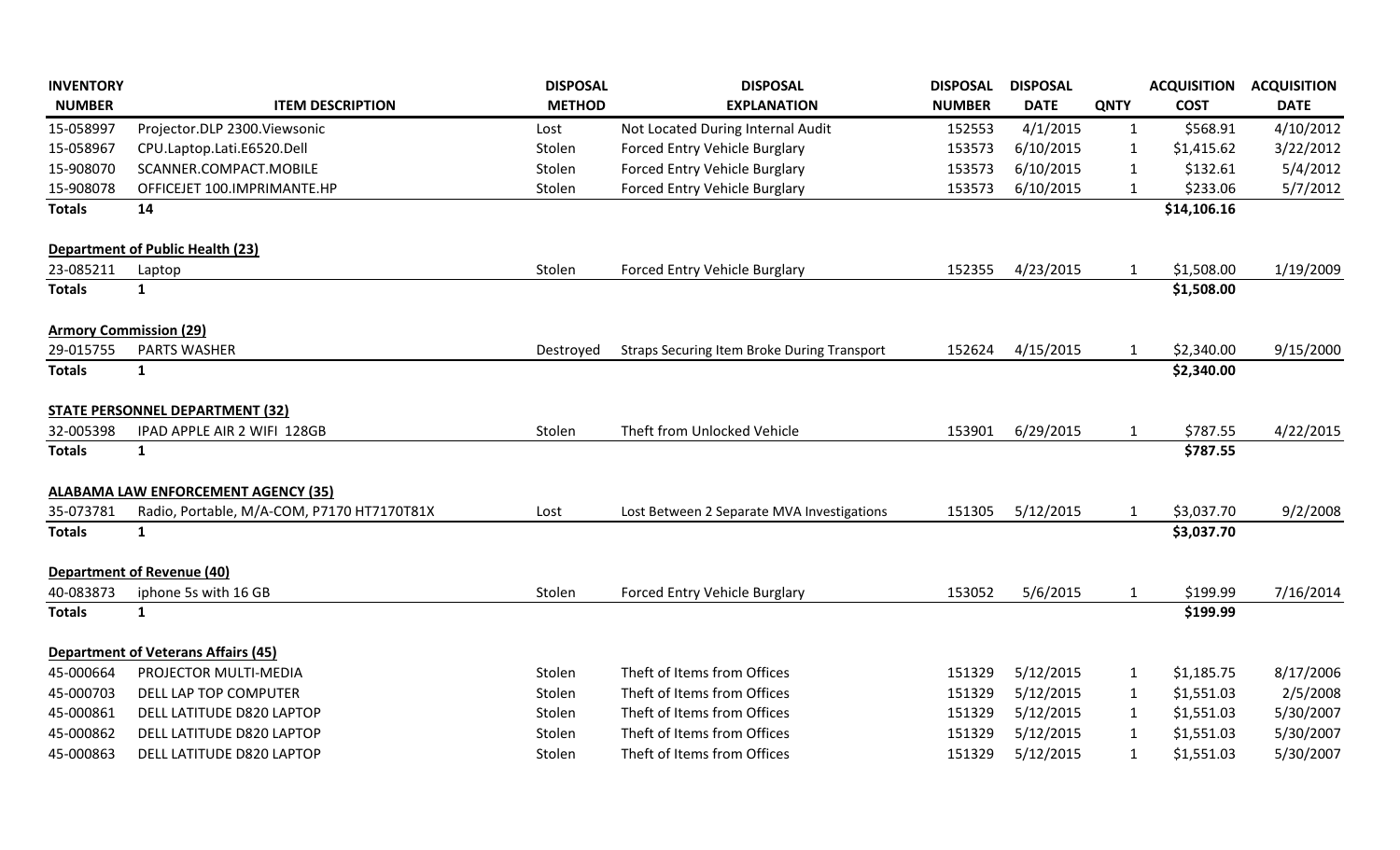| <b>INVENTORY</b>              |                                            | <b>DISPOSAL</b> | <b>DISPOSAL</b>                                    | <b>DISPOSAL</b> | <b>DISPOSAL</b> |              | <b>ACQUISITION</b> | <b>ACQUISITION</b> |
|-------------------------------|--------------------------------------------|-----------------|----------------------------------------------------|-----------------|-----------------|--------------|--------------------|--------------------|
| <b>NUMBER</b>                 | <b>ITEM DESCRIPTION</b>                    | <b>METHOD</b>   | <b>EXPLANATION</b>                                 | <b>NUMBER</b>   | <b>DATE</b>     | <b>QNTY</b>  | <b>COST</b>        | <b>DATE</b>        |
| 15-058997                     | Projector.DLP 2300.Viewsonic               | Lost            | Not Located During Internal Audit                  | 152553          | 4/1/2015        | $\mathbf{1}$ | \$568.91           | 4/10/2012          |
| 15-058967                     | CPU.Laptop.Lati.E6520.Dell                 | Stolen          | Forced Entry Vehicle Burglary                      | 153573          | 6/10/2015       | $\mathbf{1}$ | \$1,415.62         | 3/22/2012          |
| 15-908070                     | SCANNER.COMPACT.MOBILE                     | Stolen          | Forced Entry Vehicle Burglary                      | 153573          | 6/10/2015       | $\mathbf{1}$ | \$132.61           | 5/4/2012           |
| 15-908078                     | OFFICEJET 100.IMPRIMANTE.HP                | Stolen          | Forced Entry Vehicle Burglary                      | 153573          | 6/10/2015       | 1            | \$233.06           | 5/7/2012           |
| <b>Totals</b>                 | 14                                         |                 |                                                    |                 |                 |              | \$14,106.16        |                    |
|                               | <b>Department of Public Health (23)</b>    |                 |                                                    |                 |                 |              |                    |                    |
| 23-085211                     | Laptop                                     | Stolen          | Forced Entry Vehicle Burglary                      | 152355          | 4/23/2015       | 1            | \$1,508.00         | 1/19/2009          |
| <b>Totals</b>                 | $\mathbf{1}$                               |                 |                                                    |                 |                 |              | \$1,508.00         |                    |
| <b>Armory Commission (29)</b> |                                            |                 |                                                    |                 |                 |              |                    |                    |
| 29-015755                     | <b>PARTS WASHER</b>                        | Destroyed       | <b>Straps Securing Item Broke During Transport</b> | 152624          | 4/15/2015       | 1            | \$2,340.00         | 9/15/2000          |
| <b>Totals</b>                 | $\mathbf{1}$                               |                 |                                                    |                 |                 |              | \$2,340.00         |                    |
|                               | <b>STATE PERSONNEL DEPARTMENT (32)</b>     |                 |                                                    |                 |                 |              |                    |                    |
| 32-005398                     | IPAD APPLE AIR 2 WIFI 128GB                | Stolen          | Theft from Unlocked Vehicle                        | 153901          | 6/29/2015       | $\mathbf{1}$ | \$787.55           | 4/22/2015          |
| <b>Totals</b>                 | $\mathbf{1}$                               |                 |                                                    |                 |                 |              | \$787.55           |                    |
|                               | <b>ALABAMA LAW ENFORCEMENT AGENCY (35)</b> |                 |                                                    |                 |                 |              |                    |                    |
| 35-073781                     | Radio, Portable, M/A-COM, P7170 HT7170T81X | Lost            | Lost Between 2 Separate MVA Investigations         | 151305          | 5/12/2015       | $\mathbf{1}$ | \$3,037.70         | 9/2/2008           |
| <b>Totals</b>                 | $\mathbf{1}$                               |                 |                                                    |                 |                 |              | \$3,037.70         |                    |
|                               | <b>Department of Revenue (40)</b>          |                 |                                                    |                 |                 |              |                    |                    |
| 40-083873                     | iphone 5s with 16 GB                       | Stolen          | Forced Entry Vehicle Burglary                      | 153052          | 5/6/2015        | $\mathbf{1}$ | \$199.99           | 7/16/2014          |
| <b>Totals</b>                 | $\mathbf{1}$                               |                 |                                                    |                 |                 |              | \$199.99           |                    |
|                               | <b>Department of Veterans Affairs (45)</b> |                 |                                                    |                 |                 |              |                    |                    |
| 45-000664                     | PROJECTOR MULTI-MEDIA                      | Stolen          | Theft of Items from Offices                        | 151329          | 5/12/2015       | $\mathbf{1}$ | \$1,185.75         | 8/17/2006          |
| 45-000703                     | DELL LAP TOP COMPUTER                      | Stolen          | Theft of Items from Offices                        | 151329          | 5/12/2015       | $\mathbf{1}$ | \$1,551.03         | 2/5/2008           |
| 45-000861                     | DELL LATITUDE D820 LAPTOP                  | Stolen          | Theft of Items from Offices                        | 151329          | 5/12/2015       | $\mathbf{1}$ | \$1,551.03         | 5/30/2007          |
| 45-000862                     | DELL LATITUDE D820 LAPTOP                  | Stolen          | Theft of Items from Offices                        | 151329          | 5/12/2015       | $\mathbf{1}$ | \$1,551.03         | 5/30/2007          |
| 45-000863                     | DELL LATITUDE D820 LAPTOP                  | Stolen          | Theft of Items from Offices                        | 151329          | 5/12/2015       | $\mathbf{1}$ | \$1,551.03         | 5/30/2007          |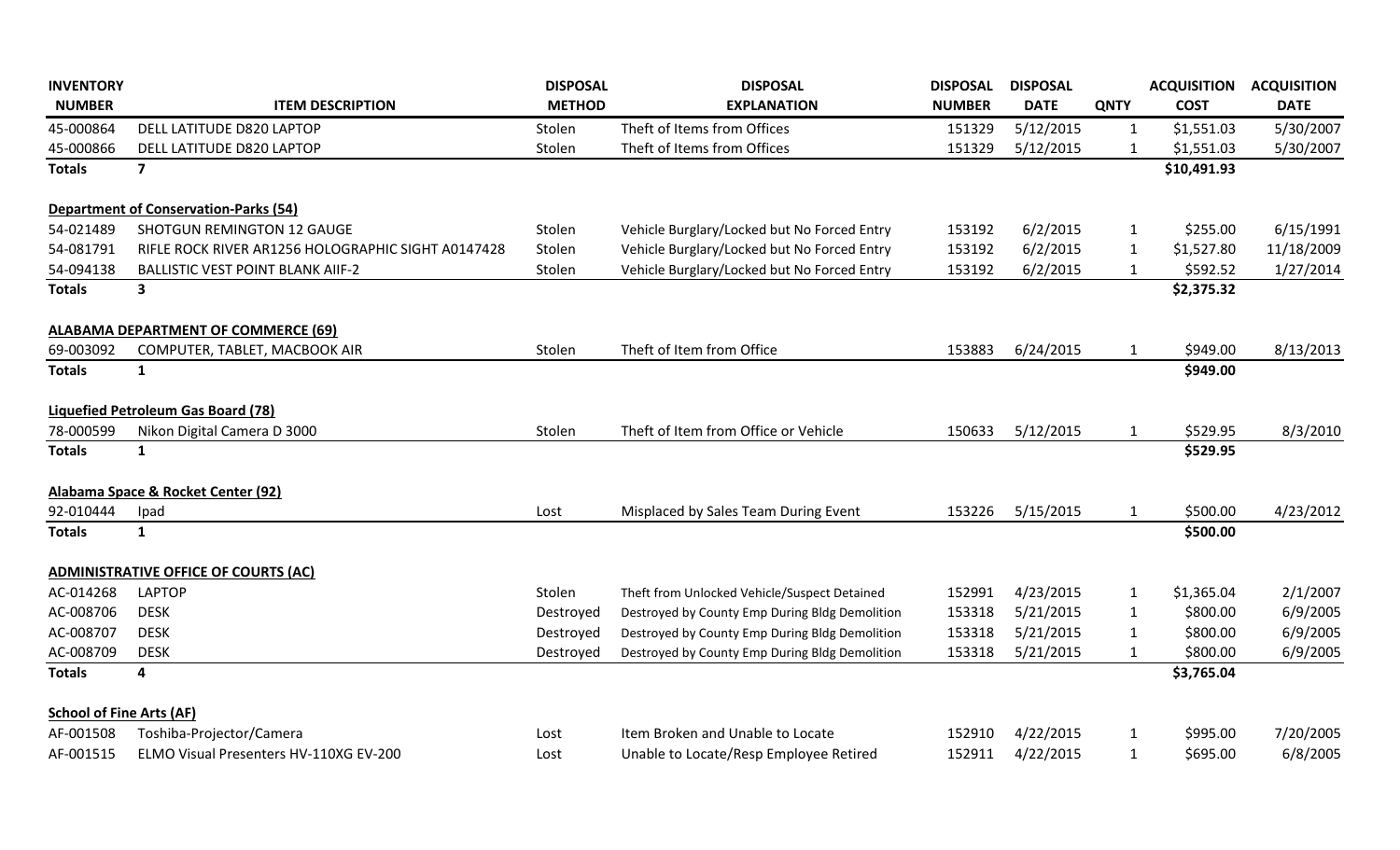| <b>INVENTORY</b>                |                                                    | <b>DISPOSAL</b> | <b>DISPOSAL</b>                                | <b>DISPOSAL</b> | <b>DISPOSAL</b> |              | <b>ACQUISITION</b> | <b>ACQUISITION</b> |
|---------------------------------|----------------------------------------------------|-----------------|------------------------------------------------|-----------------|-----------------|--------------|--------------------|--------------------|
| <b>NUMBER</b>                   | <b>ITEM DESCRIPTION</b>                            | <b>METHOD</b>   | <b>EXPLANATION</b>                             | <b>NUMBER</b>   | <b>DATE</b>     | <b>QNTY</b>  | <b>COST</b>        | <b>DATE</b>        |
| 45-000864                       | DELL LATITUDE D820 LAPTOP                          | Stolen          | Theft of Items from Offices                    | 151329          | 5/12/2015       | $\mathbf{1}$ | \$1,551.03         | 5/30/2007          |
| 45-000866                       | DELL LATITUDE D820 LAPTOP                          | Stolen          | Theft of Items from Offices                    | 151329          | 5/12/2015       | $\mathbf{1}$ | \$1,551.03         | 5/30/2007          |
| <b>Totals</b>                   | $\overline{\mathbf{z}}$                            |                 |                                                |                 |                 |              | \$10,491.93        |                    |
|                                 | <b>Department of Conservation-Parks (54)</b>       |                 |                                                |                 |                 |              |                    |                    |
| 54-021489                       | <b>SHOTGUN REMINGTON 12 GAUGE</b>                  | Stolen          | Vehicle Burglary/Locked but No Forced Entry    | 153192          | 6/2/2015        | $\mathbf{1}$ | \$255.00           | 6/15/1991          |
| 54-081791                       | RIFLE ROCK RIVER AR1256 HOLOGRAPHIC SIGHT A0147428 | Stolen          | Vehicle Burglary/Locked but No Forced Entry    | 153192          | 6/2/2015        | $\mathbf{1}$ | \$1,527.80         | 11/18/2009         |
| 54-094138                       | <b>BALLISTIC VEST POINT BLANK AIIF-2</b>           | Stolen          | Vehicle Burglary/Locked but No Forced Entry    | 153192          | 6/2/2015        | $\mathbf{1}$ | \$592.52           | 1/27/2014          |
| <b>Totals</b>                   | $\overline{\mathbf{3}}$                            |                 |                                                |                 |                 |              | \$2,375.32         |                    |
|                                 | <b>ALABAMA DEPARTMENT OF COMMERCE (69)</b>         |                 |                                                |                 |                 |              |                    |                    |
| 69-003092                       | COMPUTER, TABLET, MACBOOK AIR                      | Stolen          | Theft of Item from Office                      | 153883          | 6/24/2015       | $\mathbf{1}$ | \$949.00           | 8/13/2013          |
| <b>Totals</b>                   | $\mathbf{1}$                                       |                 |                                                |                 |                 |              | \$949.00           |                    |
|                                 | <b>Liquefied Petroleum Gas Board (78)</b>          |                 |                                                |                 |                 |              |                    |                    |
| 78-000599                       | Nikon Digital Camera D 3000                        | Stolen          | Theft of Item from Office or Vehicle           | 150633          | 5/12/2015       | $\mathbf{1}$ | \$529.95           | 8/3/2010           |
| <b>Totals</b>                   | $\mathbf{1}$                                       |                 |                                                |                 |                 |              | \$529.95           |                    |
|                                 | Alabama Space & Rocket Center (92)                 |                 |                                                |                 |                 |              |                    |                    |
| 92-010444                       | Ipad                                               | Lost            | Misplaced by Sales Team During Event           | 153226          | 5/15/2015       | $\mathbf{1}$ | \$500.00           | 4/23/2012          |
| <b>Totals</b>                   | $\mathbf{1}$                                       |                 |                                                |                 |                 |              | \$500.00           |                    |
|                                 | <b>ADMINISTRATIVE OFFICE OF COURTS (AC)</b>        |                 |                                                |                 |                 |              |                    |                    |
| AC-014268                       | <b>LAPTOP</b>                                      | Stolen          | Theft from Unlocked Vehicle/Suspect Detained   | 152991          | 4/23/2015       | $\mathbf{1}$ | \$1,365.04         | 2/1/2007           |
| AC-008706                       | <b>DESK</b>                                        | Destroyed       | Destroyed by County Emp During Bldg Demolition | 153318          | 5/21/2015       | $\mathbf{1}$ | \$800.00           | 6/9/2005           |
| AC-008707                       | <b>DESK</b>                                        | Destroyed       | Destroyed by County Emp During Bldg Demolition | 153318          | 5/21/2015       | $\mathbf{1}$ | \$800.00           | 6/9/2005           |
| AC-008709                       | <b>DESK</b>                                        | Destroyed       | Destroyed by County Emp During Bldg Demolition | 153318          | 5/21/2015       | 1            | \$800.00           | 6/9/2005           |
| <b>Totals</b>                   | 4                                                  |                 |                                                |                 |                 |              | \$3,765.04         |                    |
| <b>School of Fine Arts (AF)</b> |                                                    |                 |                                                |                 |                 |              |                    |                    |
| AF-001508                       | Toshiba-Projector/Camera                           | Lost            | Item Broken and Unable to Locate               | 152910          | 4/22/2015       | $\mathbf{1}$ | \$995.00           | 7/20/2005          |
| AF-001515                       | ELMO Visual Presenters HV-110XG EV-200             | Lost            | Unable to Locate/Resp Employee Retired         | 152911          | 4/22/2015       | $\mathbf{1}$ | \$695.00           | 6/8/2005           |